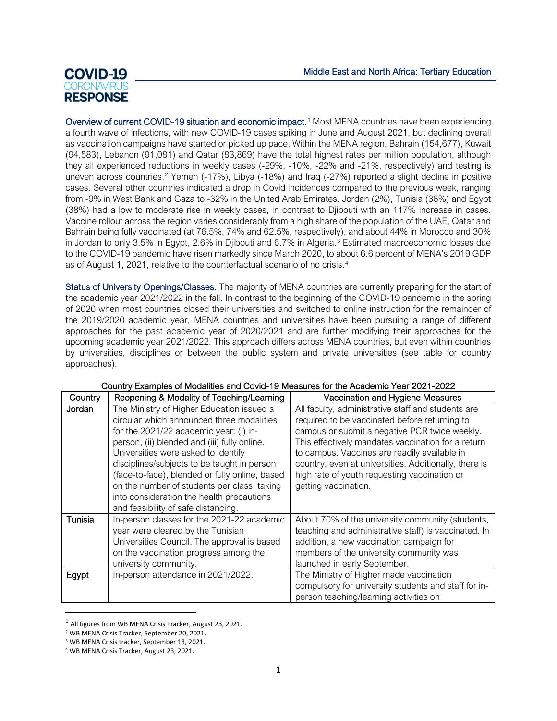## **COVID-19 RESPONSE**

Overview of current COVID-[1](#page-0-0)9 situation and economic impact.<sup>1</sup> Most MENA countries have been experiencing a fourth wave of infections, with new COVID-19 cases spiking in June and August 2021, but declining overall as vaccination campaigns have started or picked up pace. Within the MENA region, Bahrain (154,677), Kuwait (94,583), Lebanon (91,081) and Qatar (83,869) have the total highest rates per million population, although they all experienced reductions in weekly cases (-29%, -10%, -22% and -21%, respectively) and testing is uneven across countries.<sup>[2](#page-0-1)</sup> Yemen (-17%), Libya (-18%) and Iraq (-27%) reported a slight decline in positive cases. Several other countries indicated a drop in Covid incidences compared to the previous week, ranging from -9% in West Bank and Gaza to -32% in the United Arab Emirates. Jordan (2%), Tunisia (36%) and Egypt (38%) had a low to moderate rise in weekly cases, in contrast to Djibouti with an 117% increase in cases. Vaccine rollout across the region varies considerably from a high share of the population of the UAE, Qatar and Bahrain being fully vaccinated (at 76.5%, 74% and 62.5%, respectively), and about 44% in Morocco and 30% in Jordan to only [3](#page-0-2).5% in Egypt, 2.6% in Djibouti and 6.7% in Algeria.<sup>3</sup> Estimated macroeconomic losses due to the COVID-19 pandemic have risen markedly since March 2020, to about 6.6 percent of MENA's 2019 GDP as of August 1, 2021, relative to the counterfactual scenario of no crisis.[4](#page-0-3)

Status of University Openings/Classes. The majority of MENA countries are currently preparing for the start of the academic year 2021/2022 in the fall. In contrast to the beginning of the COVID-19 pandemic in the spring of 2020 when most countries closed their universities and switched to online instruction for the remainder of the 2019/2020 academic year, MENA countries and universities have been pursuing a range of different approaches for the past academic year of 2020/2021 and are further modifying their approaches for the upcoming academic year 2021/2022. This approach differs across MENA countries, but even within countries by universities, disciplines or between the public system and private universities (see table for country approaches).

| Country | $\frac{1}{2}$ . Examples of modellings and so no not<br>Reopening & Modality of Teaching/Learning                                                                                                                                                                                                                                                                                                                                                           | Vaccination and Hygiene Measures                                                                                                                                                                                                                                                                                                                                                            |
|---------|-------------------------------------------------------------------------------------------------------------------------------------------------------------------------------------------------------------------------------------------------------------------------------------------------------------------------------------------------------------------------------------------------------------------------------------------------------------|---------------------------------------------------------------------------------------------------------------------------------------------------------------------------------------------------------------------------------------------------------------------------------------------------------------------------------------------------------------------------------------------|
| Jordan  | The Ministry of Higher Education issued a<br>circular which announced three modalities<br>for the 2021/22 academic year: (i) in-<br>person, (ii) blended and (iii) fully online.<br>Universities were asked to identify<br>disciplines/subjects to be taught in person<br>(face-to-face), blended or fully online, based<br>on the number of students per class, taking<br>into consideration the health precautions<br>and feasibility of safe distancing. | All faculty, administrative staff and students are<br>required to be vaccinated before returning to<br>campus or submit a negative PCR twice weekly.<br>This effectively mandates vaccination for a return<br>to campus. Vaccines are readily available in<br>country, even at universities. Additionally, there is<br>high rate of youth requesting vaccination or<br>getting vaccination. |
| Tunisia | In-person classes for the 2021-22 academic<br>year were cleared by the Tunisian<br>Universities Council. The approval is based<br>on the vaccination progress among the<br>university community.                                                                                                                                                                                                                                                            | About 70% of the university community (students,<br>teaching and administrative staff) is vaccinated. In<br>addition, a new vaccination campaign for<br>members of the university community was<br>launched in early September.                                                                                                                                                             |
| Egypt   | In-person attendance in 2021/2022.                                                                                                                                                                                                                                                                                                                                                                                                                          | The Ministry of Higher made vaccination<br>compulsory for university students and staff for in-<br>person teaching/learning activities on                                                                                                                                                                                                                                                   |

## Country Examples of Modalities and Covid-19 Measures for the Academic Year 2021-2022

<span id="page-0-0"></span><sup>1</sup> All figures from WB MENA Crisis Tracker, August 23, 2021.

<span id="page-0-1"></span><sup>2</sup> WB MENA Crisis Tracker, September 20, 2021.

<span id="page-0-2"></span><sup>3</sup> WB MENA Crisis tracker, September 13, 2021.

<span id="page-0-3"></span><sup>4</sup> WB MENA Crisis Tracker, August 23, 2021.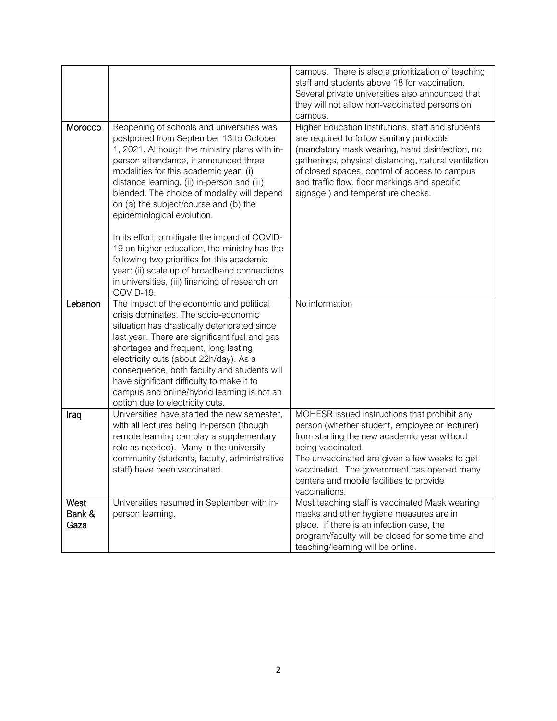|                        |                                                                                                                                                                                                                                                                                                                                                                                                                                                                                                                                                                                                                                                              | campus. There is also a prioritization of teaching<br>staff and students above 18 for vaccination.<br>Several private universities also announced that<br>they will not allow non-vaccinated persons on<br>campus.                                                                                                                              |
|------------------------|--------------------------------------------------------------------------------------------------------------------------------------------------------------------------------------------------------------------------------------------------------------------------------------------------------------------------------------------------------------------------------------------------------------------------------------------------------------------------------------------------------------------------------------------------------------------------------------------------------------------------------------------------------------|-------------------------------------------------------------------------------------------------------------------------------------------------------------------------------------------------------------------------------------------------------------------------------------------------------------------------------------------------|
| Morocco                | Reopening of schools and universities was<br>postponed from September 13 to October<br>1, 2021. Although the ministry plans with in-<br>person attendance, it announced three<br>modalities for this academic year: (i)<br>distance learning, (ii) in-person and (iii)<br>blended. The choice of modality will depend<br>on (a) the subject/course and (b) the<br>epidemiological evolution.<br>In its effort to mitigate the impact of COVID-<br>19 on higher education, the ministry has the<br>following two priorities for this academic<br>year: (ii) scale up of broadband connections<br>in universities, (iii) financing of research on<br>COVID-19. | Higher Education Institutions, staff and students<br>are required to follow sanitary protocols<br>(mandatory mask wearing, hand disinfection, no<br>gatherings, physical distancing, natural ventilation<br>of closed spaces, control of access to campus<br>and traffic flow, floor markings and specific<br>signage,) and temperature checks. |
| Lebanon                | The impact of the economic and political<br>crisis dominates. The socio-economic<br>situation has drastically deteriorated since<br>last year. There are significant fuel and gas<br>shortages and frequent, long lasting<br>electricity cuts (about 22h/day). As a<br>consequence, both faculty and students will<br>have significant difficulty to make it to<br>campus and online/hybrid learning is not an<br>option due to electricity cuts.                                                                                                                                                                                                            | No information                                                                                                                                                                                                                                                                                                                                  |
| Iraq                   | Universities have started the new semester,<br>with all lectures being in-person (though<br>remote learning can play a supplementary<br>role as needed). Many in the university<br>community (students, faculty, administrative<br>staff) have been vaccinated.                                                                                                                                                                                                                                                                                                                                                                                              | MOHESR issued instructions that prohibit any<br>person (whether student, employee or lecturer)<br>from starting the new academic year without<br>being vaccinated.<br>The unvaccinated are given a few weeks to get<br>vaccinated. The government has opened many<br>centers and mobile facilities to provide<br>vaccinations.                  |
| West<br>Bank &<br>Gaza | Universities resumed in September with in-<br>person learning.                                                                                                                                                                                                                                                                                                                                                                                                                                                                                                                                                                                               | Most teaching staff is vaccinated Mask wearing<br>masks and other hygiene measures are in<br>place. If there is an infection case, the<br>program/faculty will be closed for some time and<br>teaching/learning will be online.                                                                                                                 |